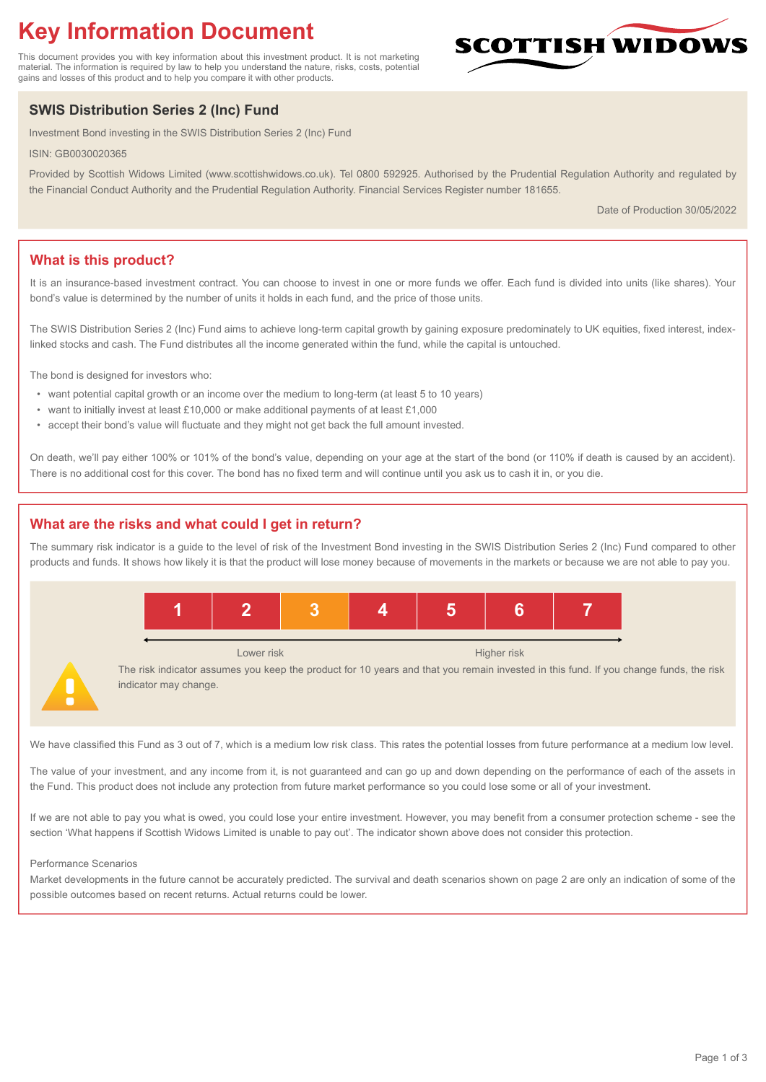# **Key Information Document**

This document provides you with key information about this investment product. It is not marketing material. The information is required by law to help you understand the nature, risks, costs, potential gains and losses of this product and to help you compare it with other products.

## **SWIS Distribution Series 2 (Inc) Fund**

Investment Bond investing in the SWIS Distribution Series 2 (Inc) Fund

ISIN: GB0030020365

Provided by Scottish Widows Limited (www.scottishwidows.co.uk). Tel 0800 592925. Authorised by the Prudential Regulation Authority and regulated by the Financial Conduct Authority and the Prudential Regulation Authority. Financial Services Register number 181655.

Date of Production 30/05/2022

**SCOTTISH WIDOW** 

## **What is this product?**

It is an insurance-based investment contract. You can choose to invest in one or more funds we offer. Each fund is divided into units (like shares). Your bond's value is determined by the number of units it holds in each fund, and the price of those units.

The SWIS Distribution Series 2 (Inc) Fund aims to achieve long-term capital growth by gaining exposure predominately to UK equities, fixed interest, indexlinked stocks and cash. The Fund distributes all the income generated within the fund, while the capital is untouched.

The bond is designed for investors who:

- want potential capital growth or an income over the medium to long-term (at least 5 to 10 years)
- want to initially invest at least £10,000 or make additional payments of at least £1,000
- accept their bond's value will fluctuate and they might not get back the full amount invested.

On death, we'll pay either 100% or 101% of the bond's value, depending on your age at the start of the bond (or 110% if death is caused by an accident). There is no additional cost for this cover. The bond has no fixed term and will continue until you ask us to cash it in, or you die.

## **What are the risks and what could I get in return?**

The summary risk indicator is a guide to the level of risk of the Investment Bond investing in the SWIS Distribution Series 2 (Inc) Fund compared to other products and funds. It shows how likely it is that the product will lose money because of movements in the markets or because we are not able to pay you.



We have classified this Fund as 3 out of 7, which is a medium low risk class. This rates the potential losses from future performance at a medium low level.

The value of your investment, and any income from it, is not guaranteed and can go up and down depending on the performance of each of the assets in the Fund. This product does not include any protection from future market performance so you could lose some or all of your investment.

If we are not able to pay you what is owed, you could lose your entire investment. However, you may benefit from a consumer protection scheme - see the section 'What happens if Scottish Widows Limited is unable to pay out'. The indicator shown above does not consider this protection.

#### Performance Scenarios

Market developments in the future cannot be accurately predicted. The survival and death scenarios shown on page 2 are only an indication of some of the possible outcomes based on recent returns. Actual returns could be lower.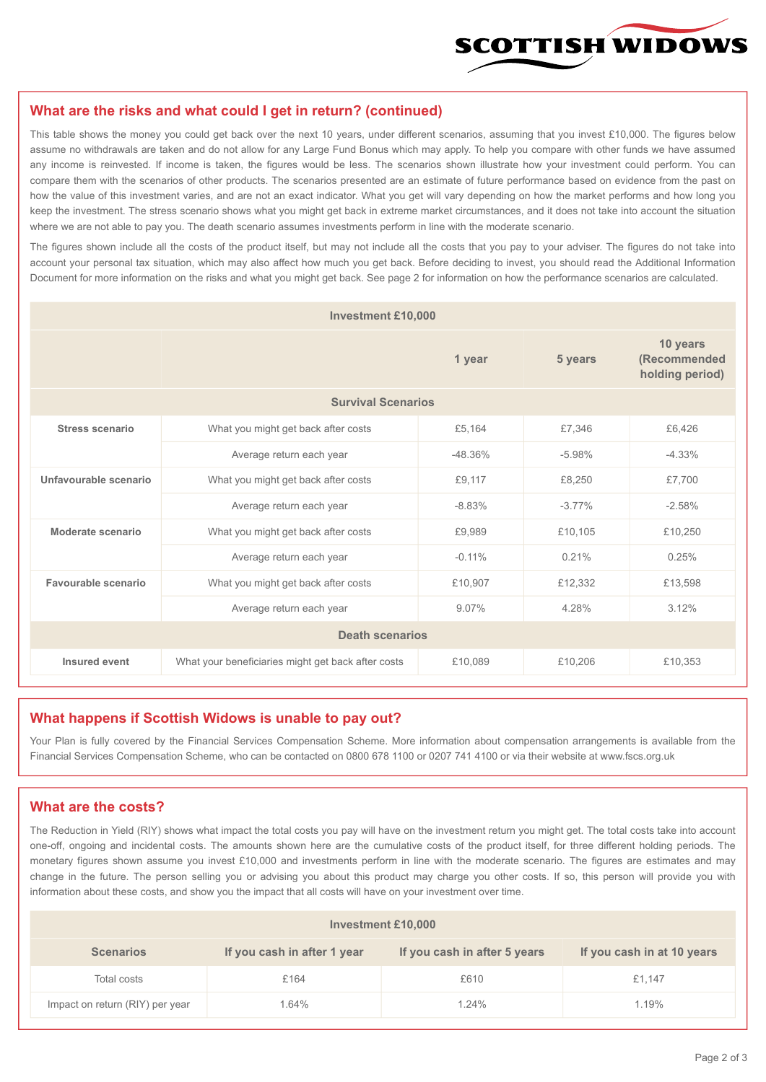

#### **What are the risks and what could I get in return? (continued)**

This table shows the money you could get back over the next 10 years, under different scenarios, assuming that you invest £10,000. The figures below assume no withdrawals are taken and do not allow for any Large Fund Bonus which may apply. To help you compare with other funds we have assumed any income is reinvested. If income is taken, the figures would be less. The scenarios shown illustrate how your investment could perform. You can compare them with the scenarios of other products. The scenarios presented are an estimate of future performance based on evidence from the past on how the value of this investment varies, and are not an exact indicator. What you get will vary depending on how the market performs and how long you keep the investment. The stress scenario shows what you might get back in extreme market circumstances, and it does not take into account the situation where we are not able to pay you. The death scenario assumes investments perform in line with the moderate scenario.

The figures shown include all the costs of the product itself, but may not include all the costs that you pay to your adviser. The figures do not take into account your personal tax situation, which may also affect how much you get back. Before deciding to invest, you should read the Additional Information Document for more information on the risks and what you might get back. See page 2 for information on how the performance scenarios are calculated.

| <b>Investment £10,000</b> |                                                    |            |           |                                             |  |  |  |
|---------------------------|----------------------------------------------------|------------|-----------|---------------------------------------------|--|--|--|
|                           | 1 year                                             |            | 5 years   | 10 years<br>(Recommended<br>holding period) |  |  |  |
| <b>Survival Scenarios</b> |                                                    |            |           |                                             |  |  |  |
| <b>Stress scenario</b>    | What you might get back after costs<br>£5,164      |            | £7,346    | £6,426                                      |  |  |  |
|                           | Average return each year                           | $-48.36\%$ | $-5.98%$  | $-4.33%$                                    |  |  |  |
| Unfavourable scenario     | What you might get back after costs<br>£9,117      |            | £8,250    | £7,700                                      |  |  |  |
|                           | Average return each year                           | $-8.83%$   | $-3.77\%$ | $-2.58%$                                    |  |  |  |
| Moderate scenario         | What you might get back after costs                | £9,989     | £10,105   | £10,250                                     |  |  |  |
|                           | Average return each year                           | $-0.11%$   | 0.21%     | 0.25%                                       |  |  |  |
| Favourable scenario       | What you might get back after costs                | £10,907    | £12,332   | £13,598                                     |  |  |  |
| Average return each year  |                                                    | 9.07%      | 4.28%     | 3.12%                                       |  |  |  |
| <b>Death scenarios</b>    |                                                    |            |           |                                             |  |  |  |
| Insured event             | What your beneficiaries might get back after costs | £10,089    | £10,206   | £10,353                                     |  |  |  |

#### **What happens if Scottish Widows is unable to pay out?**

Your Plan is fully covered by the Financial Services Compensation Scheme. More information about compensation arrangements is available from the Financial Services Compensation Scheme, who can be contacted on 0800 678 1100 or 0207 741 4100 or via their website at www.fscs.org.uk

#### **What are the costs?**

The Reduction in Yield (RIY) shows what impact the total costs you pay will have on the investment return you might get. The total costs take into account one-off, ongoing and incidental costs. The amounts shown here are the cumulative costs of the product itself, for three different holding periods. The monetary figures shown assume you invest £10,000 and investments perform in line with the moderate scenario. The figures are estimates and may change in the future. The person selling you or advising you about this product may charge you other costs. If so, this person will provide you with information about these costs, and show you the impact that all costs will have on your investment over time.

| Investment £10,000              |                             |                              |                            |  |  |  |
|---------------------------------|-----------------------------|------------------------------|----------------------------|--|--|--|
| <b>Scenarios</b>                | If you cash in after 1 year | If you cash in after 5 years | If you cash in at 10 years |  |  |  |
| Total costs                     | £164                        | £610                         | £1.147                     |  |  |  |
| Impact on return (RIY) per year | 1.64%                       | 1.24%                        | 1.19%                      |  |  |  |